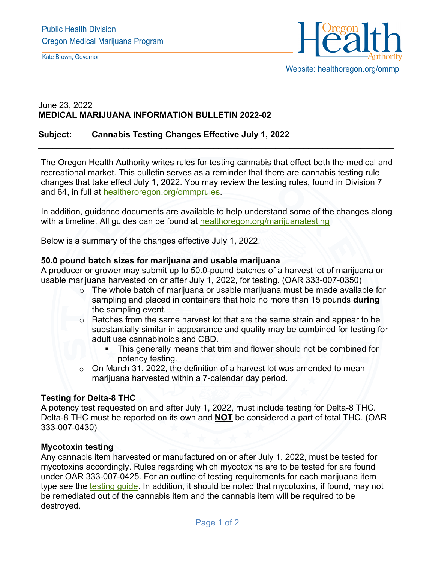Kate Brown, Governor



## June 23, 2022 **MEDICAL MARIJUANA INFORMATION BULLETIN 2022-02**

### **Subject: Cannabis Testing Changes Effective July 1, 2022**

The Oregon Health Authority writes rules for testing cannabis that effect both the medical and recreational market. This bulletin serves as a reminder that there are cannabis testing rule changes that take effect July 1, 2022. You may review the testing rules, found in Division 7 and 64, in full at [healtheroregon.org/ommprules.](https://www.oregon.gov/oha/PH/DISEASESCONDITIONS/CHRONICDISEASE/MEDICALMARIJUANAPROGRAM/Pages/legal.aspx)

\_\_\_\_\_\_\_\_\_\_\_\_\_\_\_\_\_\_\_\_\_\_\_\_\_\_\_\_\_\_\_\_\_\_\_\_\_\_\_\_\_\_\_\_\_\_\_\_\_\_\_\_\_\_\_\_\_\_\_\_\_\_\_\_\_\_\_\_\_\_\_\_\_\_\_

In addition, guidance documents are available to help understand some of the changes along with a timeline. All guides can be found at [healthoregon.org/marijuanatesting](https://www.oregon.gov/oha/PH/DISEASESCONDITIONS/CHRONICDISEASE/MEDICALMARIJUANAPROGRAM/Pages/testing.aspx)

Below is a summary of the changes effective July 1, 2022.

#### **50.0 pound batch sizes for marijuana and usable marijuana**

A producer or grower may submit up to 50.0-pound batches of a harvest lot of marijuana or usable marijuana harvested on or after July 1, 2022, for testing. (OAR 333-007-0350)

- o The whole batch of marijuana or usable marijuana must be made available for sampling and placed in containers that hold no more than 15 pounds **during** the sampling event.
- o Batches from the same harvest lot that are the same strain and appear to be substantially similar in appearance and quality may be combined for testing for adult use cannabinoids and CBD.
	- **This generally means that trim and flower should not be combined for** potency testing.
- $\circ$  On March 31, 2022, the definition of a harvest lot was amended to mean marijuana harvested within a 7-calendar day period.

#### **Testing for Delta-8 THC**

A potency test requested on and after July 1, 2022, must include testing for Delta-8 THC. Delta-8 THC must be reported on its own and **NOT** be considered a part of total THC. (OAR 333-007-0430)

#### **Mycotoxin testing**

Any cannabis item harvested or manufactured on or after July 1, 2022, must be tested for mycotoxins accordingly. Rules regarding which mycotoxins are to be tested for are found under OAR 333-007-0425. For an outline of testing requirements for each marijuana item type see the [testing guide.](https://www.oregon.gov/oha/PH/DISEASESCONDITIONS/CHRONICDISEASE/MEDICALMARIJUANAPROGRAM/Pages/testing.aspx) In addition, it should be noted that mycotoxins, if found, may not be remediated out of the cannabis item and the cannabis item will be required to be destroyed.